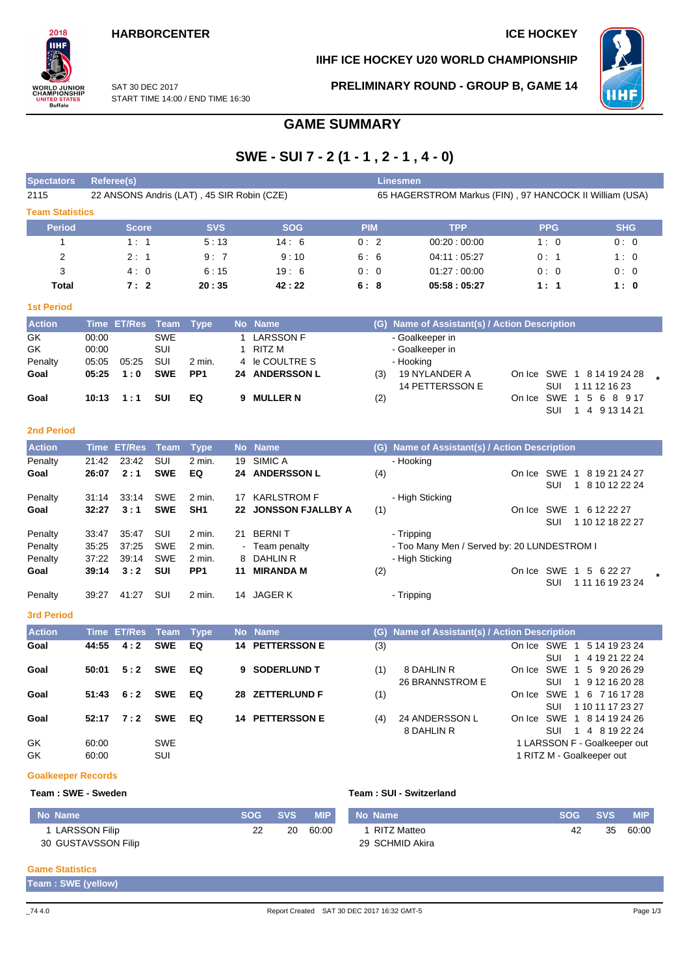## **HARBORCENTER ICE HOCKEY**

## **IIHF ICE HOCKEY U20 WORLD CHAMPIONSHIP**



SAT 30 DEC 2017 START TIME 14:00 / END TIME 16:30 **PRELIMINARY ROUND - GROUP B, GAME 14**



# **GAME SUMMARY**

# **SWE - SUI 7 - 2 (1 - 1 , 2 - 1 , 4 - 0)**

| <b>Spectators</b>      |                                            | <b>Referee(s)</b>         |                   |                    |              |                          |            |     | <b>Linesmen</b>                                         |                                                                |                            |                                                |  |  |  |  |
|------------------------|--------------------------------------------|---------------------------|-------------------|--------------------|--------------|--------------------------|------------|-----|---------------------------------------------------------|----------------------------------------------------------------|----------------------------|------------------------------------------------|--|--|--|--|
| 2115                   | 22 ANSONS Andris (LAT), 45 SIR Robin (CZE) |                           |                   |                    |              |                          |            |     | 65 HAGERSTROM Markus (FIN), 97 HANCOCK II William (USA) |                                                                |                            |                                                |  |  |  |  |
| <b>Team Statistics</b> |                                            |                           |                   |                    |              |                          |            |     |                                                         |                                                                |                            |                                                |  |  |  |  |
| <b>Period</b>          |                                            | <b>Score</b>              |                   | <b>SVS</b>         |              | <b>SOG</b>               | <b>PIM</b> |     | <b>TPP</b>                                              |                                                                | <b>PPG</b>                 | <b>SHG</b>                                     |  |  |  |  |
| 1                      |                                            | 1:1                       |                   | 5:13               |              | 14:6                     | 0:2        |     | 00:20:00:00                                             |                                                                | 1:0                        | 0:0                                            |  |  |  |  |
| $\overline{2}$         |                                            | 2:1                       |                   | 9:7                |              | 9:10                     | 6:6        |     | 04:11:05:27                                             |                                                                | 0: 1                       | 1:0                                            |  |  |  |  |
| 3                      |                                            | 4:0                       |                   | 6:15               |              | 19:6                     | 0:0        |     | 01.27:00.00                                             |                                                                | 0:0                        | 0:0                                            |  |  |  |  |
| Total                  |                                            | 7:2                       |                   | 20:35              |              | 42:22                    | 6:8        |     | 05:58:05:27                                             |                                                                | 1:1                        | 1:0                                            |  |  |  |  |
| <b>1st Period</b>      |                                            |                           |                   |                    |              |                          |            |     |                                                         |                                                                |                            |                                                |  |  |  |  |
| <b>Action</b>          |                                            | Time ET/Res               | <b>Team</b>       | <b>Type</b>        |              | No Name                  |            |     | (G) Name of Assistant(s) / Action Description           |                                                                |                            |                                                |  |  |  |  |
| GK                     | 00:00                                      |                           | <b>SWE</b>        |                    | $\mathbf{1}$ | <b>LARSSON F</b>         |            |     | - Goalkeeper in                                         |                                                                |                            |                                                |  |  |  |  |
| GK                     | 00:00                                      |                           | <b>SUI</b>        |                    | 1            | <b>RITZ M</b>            |            |     | - Goalkeeper in                                         |                                                                |                            |                                                |  |  |  |  |
| Penalty                | 05:05                                      | 05:25                     | SUI               | 2 min.             | 4            | le COULTRE S             |            |     | - Hooking                                               |                                                                |                            |                                                |  |  |  |  |
| Goal                   | 05:25                                      | 1:0                       | <b>SWE</b>        | PP <sub>1</sub>    | 24           | <b>ANDERSSON L</b>       |            | (3) | 19 NYLANDER A<br>14 PETTERSSON E                        |                                                                | <b>SUI</b>                 | On Ice SWE 1 8 14 19 24 28<br>1 11 12 16 23    |  |  |  |  |
| Goal                   | 10:13                                      | 1:1                       | <b>SUI</b>        | EQ                 | 9            | <b>MULLER N</b>          |            | (2) |                                                         |                                                                | On Ice SWE 1               | 5 6 8 9 17                                     |  |  |  |  |
|                        |                                            |                           |                   |                    |              |                          |            |     |                                                         |                                                                | <b>SUI</b>                 | 1<br>4 9 13 14 21                              |  |  |  |  |
| <b>2nd Period</b>      |                                            |                           |                   |                    |              |                          |            |     |                                                         |                                                                |                            |                                                |  |  |  |  |
| <b>Action</b>          |                                            | Time ET/Res               | Team              | <b>Type</b>        |              | No Name                  |            |     | (G) Name of Assistant(s) / Action Description           |                                                                |                            |                                                |  |  |  |  |
| Penalty                | 21:42                                      | 23:42                     | SUI               | $2$ min.           | 19           | SIMIC A                  |            |     | - Hooking                                               |                                                                |                            |                                                |  |  |  |  |
| Goal                   | 26:07                                      | 2:1                       | <b>SWE</b>        | EQ                 | 24           | <b>ANDERSSON L</b>       |            | (4) |                                                         |                                                                | <b>SUI</b><br>$\mathbf{1}$ | On Ice SWE 1 8 19 21 24 27<br>8 10 12 22 24    |  |  |  |  |
| Penalty                | 31:14                                      | 33:14                     | <b>SWE</b>        | 2 min.             |              | 17 KARLSTROM F           |            |     | - High Sticking                                         |                                                                |                            |                                                |  |  |  |  |
| Goal                   | 32:27                                      | 3:1                       | <b>SWE</b>        | SH <sub>1</sub>    | 22           | <b>JONSSON FJALLBY A</b> |            | (1) |                                                         |                                                                |                            | On Ice SWE 1 6 12 22 27                        |  |  |  |  |
|                        |                                            |                           |                   |                    |              |                          |            |     |                                                         |                                                                | SUI                        | 1 10 12 18 22 27                               |  |  |  |  |
| Penalty                | 33:47                                      | 35:47                     | SUI               | 2 min.             | 21           | <b>BERNIT</b>            |            |     | - Tripping                                              |                                                                |                            |                                                |  |  |  |  |
| Penalty                | 35:25<br>37:22                             | 37:25<br>39:14            | SWE<br><b>SWE</b> | 2 min.<br>$2$ min. | 8            | Team penalty<br>DAHLIN R |            |     |                                                         | - Too Many Men / Served by: 20 LUNDESTROM I<br>- High Sticking |                            |                                                |  |  |  |  |
| Penalty<br>Goal        | 39:14                                      | 3:2                       | SUI               | PP <sub>1</sub>    | 11           | <b>MIRANDA M</b>         |            | (2) |                                                         |                                                                |                            | On Ice SWE 1 5 6 22 27                         |  |  |  |  |
|                        |                                            |                           |                   |                    |              |                          |            |     |                                                         |                                                                | <b>SUI</b>                 | 1 11 16 19 23 24                               |  |  |  |  |
| Penalty                | 39:27                                      | 41:27                     | SUI               | 2 min.             | 14           | <b>JAGER K</b>           |            |     | - Tripping                                              |                                                                |                            |                                                |  |  |  |  |
| <b>3rd Period</b>      |                                            |                           |                   |                    |              |                          |            |     |                                                         |                                                                |                            |                                                |  |  |  |  |
| <b>Action</b>          |                                            |                           | <b>Team</b>       |                    |              | No Name                  |            |     | (G) Name of Assistant(s) / Action Description           |                                                                |                            |                                                |  |  |  |  |
| Goal                   | 44:55                                      | <b>Time ET/Res</b><br>4:2 | <b>SWE</b>        | <b>Type</b><br>EQ  | 14           | <b>PETTERSSON E</b>      |            | (3) |                                                         |                                                                | On Ice SWE 1               | 5 14 19 23 24                                  |  |  |  |  |
|                        |                                            |                           |                   |                    |              |                          |            |     |                                                         |                                                                | <b>SUI</b><br>$\mathbf{1}$ | 4 19 21 22 24                                  |  |  |  |  |
| Goal                   | 50:01                                      | 5:2                       | <b>SWE</b>        | EQ                 | 9            | <b>SODERLUND T</b>       |            | (1) | 8 DAHLIN R                                              |                                                                | On Ice SWE 1               | 5 9 20 26 29                                   |  |  |  |  |
|                        |                                            |                           |                   |                    |              |                          |            |     | 26 BRANNSTROM E                                         |                                                                | <b>SUI</b><br>$\mathbf{1}$ | 9 12 16 20 28                                  |  |  |  |  |
| Goal                   | 51:43                                      | 6:2                       | <b>SWE</b>        | EQ                 | 28           | <b>ZETTERLUND F</b>      |            | (1) |                                                         |                                                                |                            | On Ice SWE 1 6 7 16 17 28                      |  |  |  |  |
|                        |                                            |                           |                   |                    |              |                          |            |     |                                                         |                                                                | <b>SUI</b>                 | 1 10 11 17 23 27                               |  |  |  |  |
| Goal                   | 52:17                                      | 7:2                       | <b>SWE</b>        | EQ                 |              | <b>14 PETTERSSON E</b>   |            | (4) | 24 ANDERSSON L                                          |                                                                |                            | On Ice SWE 1 8 14 19 24 26                     |  |  |  |  |
| GK                     | 60:00                                      |                           | <b>SWE</b>        |                    |              |                          |            |     | 8 DAHLIN R                                              |                                                                | <b>SUI</b>                 | 1 4 8 19 22 24<br>1 LARSSON F - Goalkeeper out |  |  |  |  |
| GK                     | 60:00                                      |                           | SUI               |                    |              |                          |            |     |                                                         |                                                                |                            | 1 RITZ M - Goalkeeper out                      |  |  |  |  |
|                        |                                            |                           |                   |                    |              |                          |            |     |                                                         |                                                                |                            |                                                |  |  |  |  |

### **Goalkeeper Records**

### **Team : SWE - Sweden Team : SUI - Switzerland**

| No Name             | <b>SOG</b> | <b>SVS</b> | <b>MIP</b> | No Name         | SOG | <b>SVS</b> | <b>MIP</b> |
|---------------------|------------|------------|------------|-----------------|-----|------------|------------|
| LARSSON Filip       | ∩י         | 20         | 60:00      | 1 RITZ Matteo   | 42  | 35         | 60:00      |
| 30 GUSTAVSSON Filip |            |            |            | 29 SCHMID Akira |     |            |            |

## **Game Statistics**

**Team : SWE (yellow)**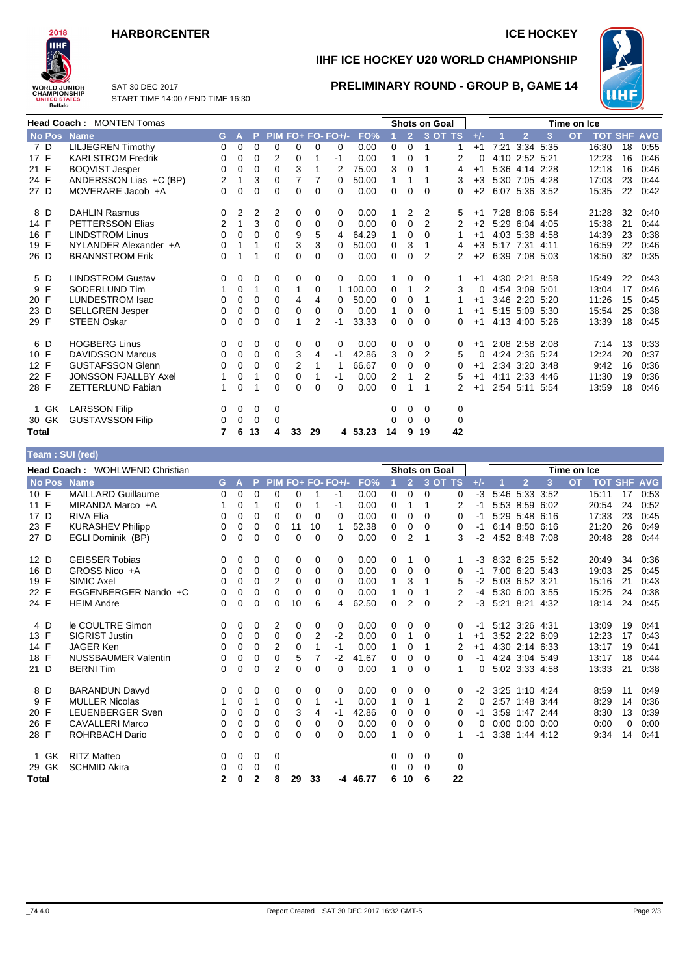## **HARBORCENTER ICE HOCKEY**



**Team : SUI (red)**

**IIHF ICE HOCKEY U20 WORLD CHAMPIONSHIP**

**PRELIMINARY ROUND - GROUP B, GAME 14**



SAT 30 DEC 2017 START TIME 14:00 / END TIME 16:30

| <b>Head Coach: MONTEN Tomas</b> |                             |                |              |          |             |                | <b>Shots on Goal</b> |                     |          |          |                | Time on Ice    |             |       |                |                |   |           |                    |    |      |
|---------------------------------|-----------------------------|----------------|--------------|----------|-------------|----------------|----------------------|---------------------|----------|----------|----------------|----------------|-------------|-------|----------------|----------------|---|-----------|--------------------|----|------|
| No Pos                          | <b>Name</b>                 | G.             | $\mathsf{A}$ | P.       |             |                |                      | $PIM FO+ FO- FO+/-$ | FO%      | 1        | $\overline{2}$ | <b>3 OT TS</b> |             | $+/-$ |                | $\overline{2}$ | 3 | <b>OT</b> | <b>TOT SHF AVG</b> |    |      |
| 7 D                             | <b>LILJEGREN Timothy</b>    | $\Omega$       | $\mathbf 0$  | $\Omega$ | $\Omega$    | 0              | $\Omega$             | 0                   | 0.00     | $\Omega$ | $\Omega$       | 1              |             | $+1$  | 7:21           | 3:34 5:35      |   |           | 16:30              | 18 | 0:55 |
| 17 F                            | <b>KARLSTROM Fredrik</b>    | $\Omega$       | $\mathbf 0$  | 0        | 2           | 0              |                      | $-1$                | 0.00     | 1        | 0              |                | 2           | 0     |                | 4:10 2:52 5:21 |   |           | 12:23              | 16 | 0:46 |
| 21 F                            | <b>BOQVIST Jesper</b>       | 0              | 0            | $\Omega$ | 0           | 3              |                      | 2                   | 75.00    | 3        | $\Omega$       | 1              | 4           | $+1$  |                | 5:36 4:14 2:28 |   |           | 12:18              | 16 | 0:46 |
| 24 F                            | ANDERSSON Lias +C (BP)      | $\overline{2}$ | 1            | 3        | 0           | 7              | 7                    | $\Omega$            | 50.00    | 1        | 1              |                | 3           | $+3$  |                | 5:30 7:05 4:28 |   |           | 17:03              | 23 | 0:44 |
| 27 D                            | MOVERARE Jacob +A           | $\Omega$       | 0            | $\Omega$ | 0           | 0              | $\Omega$             | 0                   | 0.00     | $\Omega$ | $\Omega$       | $\Omega$       | 0           | $+2$  | 6:07 5:36 3:52 |                |   |           | 15:35              | 22 | 0:42 |
| 8 D                             | <b>DAHLIN Rasmus</b>        | 0              | 2            | 2        | 2           | 0              | 0                    | 0                   | 0.00     | 1        | 2              | 2              | 5           | $+1$  |                | 7:28 8:06 5:54 |   |           | 21:28              | 32 | 0:40 |
| 14 F                            | <b>PETTERSSON Elias</b>     | 2              | 1            | 3        | 0           | 0              | 0                    | $\Omega$            | 0.00     | 0        | 0              | 2              | 2           | $+2$  |                | 5:29 6:04 4:05 |   |           | 15:38              | 21 | 0:44 |
| 16 F                            | <b>LINDSTROM Linus</b>      | 0              | 0            | $\Omega$ | $\Omega$    | 9              | 5                    | 4                   | 64.29    | 1        | 0              | $\Omega$       | 1           | $+1$  |                | 4:03 5:38 4:58 |   |           | 14:39              | 23 | 0:38 |
| 19 F                            | NYLANDER Alexander +A       | 0              | 1            | 1        | 0           | 3              | 3                    | 0                   | 50.00    | 0        | 3              | 1              | 4           | $+3$  |                | 5:17 7:31 4:11 |   |           | 16:59              | 22 | 0:46 |
| 26 D                            | <b>BRANNSTROM Erik</b>      | $\Omega$       |              | 1        | 0           | 0              | 0                    | 0                   | 0.00     | $\Omega$ | $\Omega$       | $\overline{2}$ | 2           | $+2$  | 6:39 7:08 5:03 |                |   |           | 18:50              | 32 | 0:35 |
| 5 D                             | <b>LINDSTROM Gustav</b>     | 0              | 0            | 0        | 0           | 0              | 0                    | 0                   | 0.00     |          | 0              | 0              |             | $+1$  |                | 4:30 2:21 8:58 |   |           | 15:49              | 22 | 0:43 |
| 9 F                             | SODERLUND Tim               | 1              | 0            | 1        | $\mathbf 0$ | 1              | 0                    |                     | 1 100.00 | 0        | 1              | $\overline{2}$ | 3           | 0     |                | 4:54 3:09 5:01 |   |           | 13:04              | 17 | 0:46 |
| 20 F                            | <b>LUNDESTROM Isac</b>      | 0              | 0            | 0        | $\Omega$    | 4              | 4                    | 0                   | 50.00    | 0        | $\mathbf 0$    | 1              |             | $+1$  |                | 3:46 2:20 5:20 |   |           | 11:26              | 15 | 0:45 |
| 23 D                            | <b>SELLGREN Jesper</b>      | 0              | 0            | 0        | 0           | 0              | 0                    | 0                   | 0.00     | 1        | 0              | 0              |             | $+1$  |                | 5:15 5:09 5:30 |   |           | 15:54              | 25 | 0:38 |
| 29 F                            | <b>STEEN Oskar</b>          | 0              | 0            | 0        | $\Omega$    | 1              | 2                    | $-1$                | 33.33    | 0        | $\Omega$       | $\Omega$       | 0           | $+1$  |                | 4:13 4:00 5:26 |   |           | 13:39              | 18 | 0:45 |
| 6 D                             | <b>HOGBERG Linus</b>        | 0              | 0            | 0        | 0           | 0              | 0                    | 0                   | 0.00     | 0        | 0              | 0              | 0           | $+1$  |                | 2:08 2:58 2:08 |   |           | 7:14               | 13 | 0:33 |
| 10 F                            | <b>DAVIDSSON Marcus</b>     | $\Omega$       | 0            | $\Omega$ | $\Omega$    | 3              | 4                    | $-1$                | 42.86    | 3        | $\Omega$       | 2              | 5           | 0     |                | 4:24 2:36 5:24 |   |           | 12:24              | 20 | 0:37 |
| 12 F                            | <b>GUSTAFSSON Glenn</b>     | 0              | 0            | 0        | $\Omega$    | $\overline{2}$ |                      | 1                   | 66.67    | 0        | 0              | $\Omega$       | 0           | $+1$  |                | 2:34 3:20 3:48 |   |           | 9:42               | 16 | 0:36 |
| 22 F                            | <b>JONSSON FJALLBY Axel</b> |                | $\mathbf 0$  | 1        | 0           | 0              |                      | -1                  | 0.00     | 2        | 1              | $\overline{2}$ | 5           | $+1$  |                | 4:11 2:33 4:46 |   |           | 11:30              | 19 | 0:36 |
| 28 F                            | <b>ZETTERLUND Fabian</b>    | 1              | $\mathbf 0$  |          | 0           | 0              | $\Omega$             | 0                   | 0.00     | 0        | 1              | 1              | 2           | $+1$  |                | 2:54 5:11 5:54 |   |           | 13:59              | 18 | 0:46 |
| 1 GK                            | <b>LARSSON Filip</b>        | 0              | 0            | 0        | 0           |                |                      |                     |          | 0        | 0              | 0              | 0           |       |                |                |   |           |                    |    |      |
| 30 GK                           | <b>GUSTAVSSON Filip</b>     | 0              | 0            | 0        | $\mathbf 0$ |                |                      |                     |          | $\Omega$ | $\Omega$       | 0              | $\mathbf 0$ |       |                |                |   |           |                    |    |      |
| Total                           |                             | 7              | 6            | 13       | 4           | 33             | 29                   |                     | 4 53.23  | 14       | 9              | 19             | 42          |       |                |                |   |           |                    |    |      |

| <b>Head Coach: WOHLWEND Christian</b> |                            |              |          |                |                |          | <b>Shots on Goal</b> |                   |            |   |                | Time on Ice |             |       |                |                      |      |           |       |    |                    |
|---------------------------------------|----------------------------|--------------|----------|----------------|----------------|----------|----------------------|-------------------|------------|---|----------------|-------------|-------------|-------|----------------|----------------------|------|-----------|-------|----|--------------------|
| No Pos Name                           |                            | G.           | A        | P.             |                |          |                      | PIM FO+ FO- FO+/- | FO%        |   | $\overline{2}$ |             | $3$ OT TS   | $+/-$ |                | $\overline{2}$       | 3    | <b>OT</b> |       |    | <b>TOT SHF AVG</b> |
|                                       |                            |              |          |                |                |          |                      |                   |            |   |                |             |             |       |                |                      |      |           |       |    |                    |
| 10 F                                  | <b>MAILLARD Guillaume</b>  | 0            | 0        | 0              | $\Omega$       | 0        |                      | $-1$              | 0.00       | 0 | 0              | 0           | 0           | $-3$  |                | 5:46 5:33 3:52       |      |           | 15:11 | 17 | 0:53               |
| 11 F                                  | MIRANDA Marco +A           |              | 0        | 1              | 0              | 0        |                      | -1                | 0.00       | 0 | 1              | 1           | 2           | -1    |                | 5:53 8:59            | 6:02 |           | 20:54 | 24 | 0:52               |
| 17 D                                  | <b>RIVA Elia</b>           | 0            | 0        | 0              | $\Omega$       | 0        | 0                    | 0                 | 0.00       | 0 | 0              | 0           | 0           | -1    |                | 5:29 5:48 6:16       |      |           | 17:33 | 23 | 0:45               |
| 23 F                                  | <b>KURASHEV Philipp</b>    | 0            | 0        | 0              | 0              | 11       | 10                   |                   | 52.38      | 0 | 0              | 0           | 0           | -1    |                | 6:14 8:50 6:16       |      |           | 21:20 | 26 | 0:49               |
| 27 D                                  | EGLI Dominik (BP)          | 0            | 0        | 0              | 0              | $\Omega$ | 0                    | 0                 | 0.00       | 0 | 2              | 1           | 3           | $-2$  |                | 4:52 8:48 7:08       |      |           | 20:48 | 28 | 0:44               |
| 12 D                                  | <b>GEISSER Tobias</b>      | 0            | 0        | 0              | 0              | 0        | 0                    | 0                 | 0.00       | 0 |                | 0           |             | -3    | 8:32 6:25 5:52 |                      |      |           | 20:49 | 34 | 0:36               |
| 16 D                                  | GROSS Nico +A              | 0            | 0        | 0              | 0              | 0        | 0                    | 0                 | 0.00       | 0 | 0              | $\Omega$    | 0           | -1    |                | 7:00 6:20 5:43       |      |           | 19:03 | 25 | 0:45               |
| 19 F                                  | SIMIC Axel                 | 0            | 0        | 0              | 2              | 0        | 0                    | 0                 | 0.00       | 1 | 3              |             | 5           | $-2$  |                | 5:03 6:52 3:21       |      |           | 15:16 | 21 | 0:43               |
| 22 F                                  | EGGENBERGER Nando +C       | 0            | 0        | 0              | 0              | 0        | 0                    | 0                 | 0.00       | 1 | 0              | 1           | 2           | $-4$  |                | 5:30 6:00 3:55       |      |           | 15:25 | 24 | 0:38               |
| 24 F                                  | <b>HEIM Andre</b>          | 0            | 0        | $\Omega$       | $\Omega$       | 10       | 6                    | 4                 | 62.50      | 0 | 2              | $\Omega$    | 2           | $-3$  | 5:21 8:21 4:32 |                      |      |           | 18:14 | 24 | 0:45               |
| 4 D                                   | le COULTRE Simon           | 0            | 0        | 0              | 2              | 0        | 0                    | 0                 | 0.00       | 0 | 0              | 0           | 0           | -1    |                | 5:12 3:26 4:31       |      |           | 13:09 | 19 | 0:41               |
| 13 F                                  | <b>SIGRIST Justin</b>      | 0            | 0        | 0              | 0              | 0        | 2                    | $-2$              | 0.00       | 0 | 1              | $\Omega$    |             | $+1$  |                | 3:52 2:22 6:09       |      |           | 12:23 | 17 | 0:43               |
| 14 F                                  | <b>JAGER Ken</b>           | 0            | 0        | 0              | 2              | 0        | 1                    | $-1$              | 0.00       | 1 | 0              | 1           | 2           | $+1$  |                | 4:30 2:14 6:33       |      |           | 13:17 | 19 | 0:41               |
| 18 F                                  | <b>NUSSBAUMER Valentin</b> | 0            | 0        | 0              | 0              | 5        | 7                    | $-2$              | 41.67      | 0 | 0              | $\Omega$    | 0           | -1    |                | 4:24 3:04 5:49       |      |           | 13:17 | 18 | 0:44               |
| 21 D                                  | <b>BERNITim</b>            | 0            | $\Omega$ | 0              | $\overline{2}$ | $\Omega$ | $\Omega$             | 0                 | 0.00       | 1 | $\Omega$       | $\Omega$    | 1           | 0     |                | 5:02 3:33 4:58       |      |           | 13:33 | 21 | 0:38               |
| 8 D                                   | <b>BARANDUN Davyd</b>      | 0            | 0        | 0              | 0              | 0        | 0                    | 0                 | 0.00       | 0 | 0              | $\Omega$    | 0           | $-2$  |                | 3:25 1:10 4:24       |      |           | 8:59  | 11 | 0:49               |
| 9 F                                   | <b>MULLER Nicolas</b>      |              | 0        | 1              | 0              | 0        |                      | -1                | 0.00       | 1 | 0              | 1           | 2           | 0     |                | 2:57 1:48 3:44       |      |           | 8:29  | 14 | 0:36               |
| 20 F                                  | <b>LEUENBERGER Sven</b>    | 0            | $\Omega$ | 0              | $\Omega$       | 3        | 4                    | $-1$              | 42.86      | 0 | $\Omega$       | 0           | 0           | -1    |                | 3:59 1:47 2:44       |      |           | 8:30  | 13 | 0:39               |
| 26 F                                  | <b>CAVALLERI Marco</b>     | 0            | 0        | 0              | 0              | 0        | $\Omega$             | 0                 | 0.00       | 0 | 0              | $\Omega$    | 0           | 0     |                | $0:00$ $0:00$ $0:00$ |      |           | 0:00  | 0  | 0:00               |
| 28 F                                  | <b>ROHRBACH Dario</b>      | 0            | 0        | 0              | $\Omega$       | $\Omega$ | $\Omega$             | $\Omega$          | 0.00       | 1 | 0              | $\Omega$    |             | -1    |                | 3:38 1:44 4:12       |      |           | 9:34  | 14 | 0:41               |
|                                       |                            |              |          |                |                |          |                      |                   |            |   |                |             |             |       |                |                      |      |           |       |    |                    |
| 1 GK                                  | <b>RITZ Matteo</b>         | 0            | 0        | 0              | 0              |          |                      |                   |            | 0 | 0              | 0           | 0           |       |                |                      |      |           |       |    |                    |
| 29 GK                                 | <b>SCHMID Akira</b>        | 0            | 0        | 0              | 0              |          |                      |                   |            | 0 | $\Omega$       | $\Omega$    | $\mathbf 0$ |       |                |                      |      |           |       |    |                    |
| <b>Total</b>                          |                            | $\mathbf{2}$ | 0        | $\overline{2}$ | 8              | 29       | 33                   |                   | $-4$ 46.77 | 6 | 10             | -6          | 22          |       |                |                      |      |           |       |    |                    |